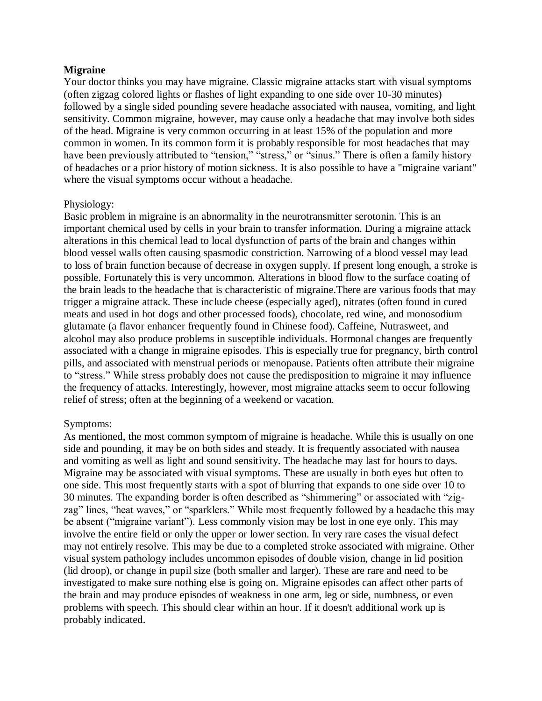## **Migraine**

Your doctor thinks you may have migraine. Classic migraine attacks start with visual symptoms (often zigzag colored lights or flashes of light expanding to one side over 10-30 minutes) followed by a single sided pounding severe headache associated with nausea, vomiting, and light sensitivity. Common migraine, however, may cause only a headache that may involve both sides of the head. Migraine is very common occurring in at least 15% of the population and more common in women. In its common form it is probably responsible for most headaches that may have been previously attributed to "tension," "stress," or "sinus." There is often a family history of headaches or a prior history of motion sickness. It is also possible to have a "migraine variant" where the visual symptoms occur without a headache.

## Physiology:

Basic problem in migraine is an abnormality in the neurotransmitter serotonin. This is an important chemical used by cells in your brain to transfer information. During a migraine attack alterations in this chemical lead to local dysfunction of parts of the brain and changes within blood vessel walls often causing spasmodic constriction. Narrowing of a blood vessel may lead to loss of brain function because of decrease in oxygen supply. If present long enough, a stroke is possible. Fortunately this is very uncommon. Alterations in blood flow to the surface coating of the brain leads to the headache that is characteristic of migraine.There are various foods that may trigger a migraine attack. These include cheese (especially aged), nitrates (often found in cured meats and used in hot dogs and other processed foods), chocolate, red wine, and monosodium glutamate (a flavor enhancer frequently found in Chinese food). Caffeine, Nutrasweet, and alcohol may also produce problems in susceptible individuals. Hormonal changes are frequently associated with a change in migraine episodes. This is especially true for pregnancy, birth control pills, and associated with menstrual periods or menopause. Patients often attribute their migraine to "stress." While stress probably does not cause the predisposition to migraine it may influence the frequency of attacks. Interestingly, however, most migraine attacks seem to occur following relief of stress; often at the beginning of a weekend or vacation.

# Symptoms:

As mentioned, the most common symptom of migraine is headache. While this is usually on one side and pounding, it may be on both sides and steady. It is frequently associated with nausea and vomiting as well as light and sound sensitivity. The headache may last for hours to days. Migraine may be associated with visual symptoms. These are usually in both eyes but often to one side. This most frequently starts with a spot of blurring that expands to one side over 10 to 30 minutes. The expanding border is often described as "shimmering" or associated with "zigzag" lines, "heat waves," or "sparklers." While most frequently followed by a headache this may be absent ("migraine variant"). Less commonly vision may be lost in one eye only. This may involve the entire field or only the upper or lower section. In very rare cases the visual defect may not entirely resolve. This may be due to a completed stroke associated with migraine. Other visual system pathology includes uncommon episodes of double vision, change in lid position (lid droop), or change in pupil size (both smaller and larger). These are rare and need to be investigated to make sure nothing else is going on. Migraine episodes can affect other parts of the brain and may produce episodes of weakness in one arm, leg or side, numbness, or even problems with speech. This should clear within an hour. If it doesn't additional work up is probably indicated.